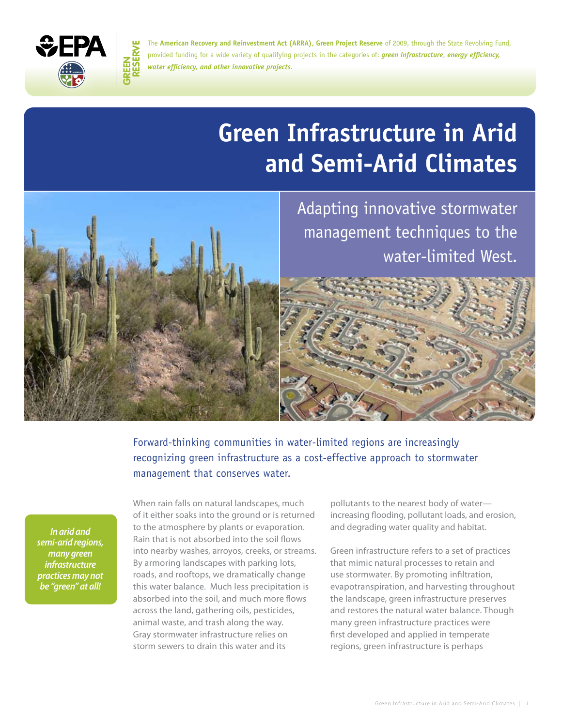

**Green**

The American Recovery and Reinvestment Act (ARRA), Green Project Reserve of 2009, through the State Revolving Fund, **reserveeDED The American Recovery and Reinvestment Act (ARRA), Green Project Reserve of 2009, through the State Revolving Fund,<br>provided funding for a wide variety of qualifying projects in the categories of:** *green infra* provided funding for a wide variety of qualifying projects in the categories of: *green infrastructure*, *energy efficiency, water efficiency, and other innovative projects*.

# **Green Infrastructure in Arid and Semi-Arid Climates**



 Adapting innovative stormwater management techniques to the water-limited West.

 Forward-thinking communities in water-limited regions are increasingly recognizing green infrastructure as a cost-effective approach to stormwater management that conserves water.

*In arid and semi-arid regions, many green infrastructure practices may not be "green" at all!* 

 When rain falls on natural landscapes, much to the atmosphere by plants or evaporation. into nearby washes, arroyos, creeks, or streams. By armoring landscapes with parking lots, roads, and rooftops, we dramatically change animal waste, and trash along the way. Gray stormwater infrastructure relies on storm sewers to drain this water and its of it either soaks into the ground or is returned Rain that is not absorbed into the soil flows this water balance. Much less precipitation is absorbed into the soil, and much more flows across the land, gathering oils, pesticides,

pollutants to the nearest body of water increasing flooding, pollutant loads, and erosion, and degrading water quality and habitat.

 use stormwater. By promoting infiltration, evapotranspiration, and harvesting throughout the landscape, green infrastructure preserves and restores the natural water balance. Though many green infrastructure practices were regions, green infrastructure is perhaps Green infrastructure refers to a set of practices that mimic natural processes to retain and first developed and applied in temperate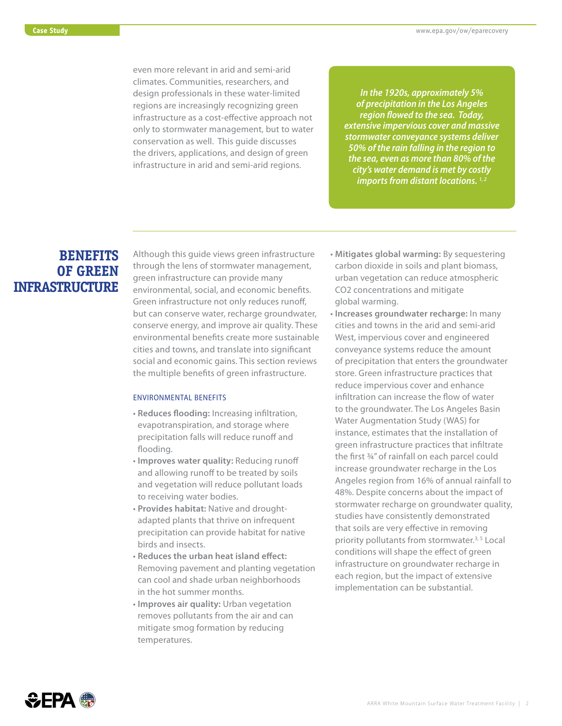even more relevant in arid and semi-arid design professionals in these water-limited infrastructure as a cost-effective approach not only to stormwater management, but to water conservation as well. This guide discusses the drivers, applications, and design of green infrastructure in arid and semi-arid regions. climates. Communities, researchers, and regions are increasingly recognizing green

*In the 1920s, approximately 5% of precipitation in the Los Angeles region flowed to the sea. Today, extensive impervious cover and massive stormwater conveyance systems deliver 50% of the rain falling in the region to the sea, even as more than 80% of the city's water demand is met by costly imports from distant locations.*  $1,2$ 

### **BENEFITS OF GREEN INFRASTRUCTURE**

 Although this guide views green infrastructure but can conserve water, recharge groundwater, environmental benefits create more sustainable the multiple benefits of green infrastructure. through the lens of stormwater management, green infrastructure can provide many environmental, social, and economic benefits. Green infrastructure not only reduces runoff, conserve energy, and improve air quality. These cities and towns, and translate into significant social and economic gains. This section reviews

#### EnvironmEntal bEnEfits

- precipitation falls will reduce runoff and • **Reduces flooding:** Increasing infiltration, evapotranspiration, and storage where flooding.
- • **Improves water quality:** Reducing runoff and allowing runoff to be treated by soils and vegetation will reduce pollutant loads to receiving water bodies.
- adapted plants that thrive on infrequent • **Provides habitat:** Native and droughtprecipitation can provide habitat for native birds and insects.
- Removing pavement and planting vegetation can cool and shade urban neighborhoods • **Reduces the urban heat island effect:**  in the hot summer months.
- mitigate smog formation by reducing • **Improves air quality:** Urban vegetation removes pollutants from the air and can temperatures.
- • **Mitigates global warming:** By sequestering CO2 concentrations and mitigate carbon dioxide in soils and plant biomass, urban vegetation can reduce atmospheric global warming.
- • **Increases groundwater recharge:** In many conveyance systems reduce the amount reduce impervious cover and enhance infiltration can increase the flow of water to the groundwater. The Los Angeles Basin green infrastructure practices that infiltrate increase groundwater recharge in the Los Angeles region from 16% of annual rainfall to 48%. Despite concerns about the impact of stormwater recharge on groundwater quality, studies have consistently demonstrated that soils are very effective in removing conditions will shape the effect of green infrastructure on groundwater recharge in each region, but the impact of extensive cities and towns in the arid and semi-arid West, impervious cover and engineered of precipitation that enters the groundwater store. Green infrastructure practices that Water Augmentation Study (WAS) for instance, estimates that the installation of the first ¾" of rainfall on each parcel could priority pollutants from stormwater.<sup>3, 5</sup> Local implementation can be substantial.

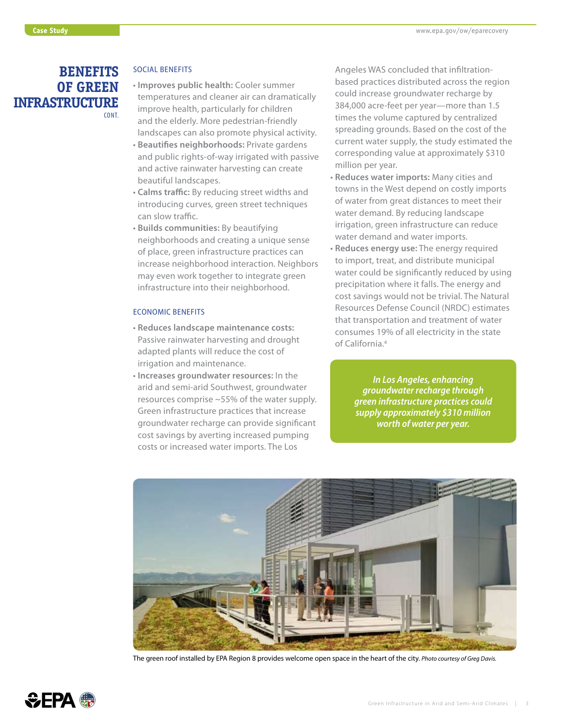## **OF GREEN INFRASTRUCTURE**  cont.

- temperatures and cleaner air can dramatically improve health, particularly for children and the elderly. More pedestrian-friendly • **Improves public health:** Cooler summer landscapes can also promote physical activity.
- • **Beautifies neighborhoods:** Private gardens and public rights-of-way irrigated with passive and active rainwater harvesting can create beautiful landscapes.
- • **Calms traffic:** By reducing street widths and introducing curves, green street techniques can slow traffic.
- • **Builds communities:** By beautifying neighborhoods and creating a unique sense may even work together to integrate green of place, green infrastructure practices can increase neighborhood interaction. Neighbors infrastructure into their neighborhood.

#### Economic bEnEfits

- Passive rainwater harvesting and drought adapted plants will reduce the cost of • **Reduces landscape maintenance costs:**  irrigation and maintenance.
- arid and semi-arid Southwest, groundwater groundwater recharge can provide significant costs or increased water imports. The Los • **Increases groundwater resources:** In the resources comprise ~55% of the water supply. Green infrastructure practices that increase cost savings by averting increased pumping

 based practices distributed across the region could increase groundwater recharge by 384,000 acre-feet per year—more than 1.5 times the volume captured by centralized spreading grounds. Based on the cost of the current water supply, the study estimated the corresponding value at approximately \$310 **BENEFITS** SOCIAL BENEFITS **Angeles WAS concluded that infiltration**million per year.

- • **Reduces water imports:** Many cities and of water from great distances to meet their water demand. By reducing landscape irrigation, green infrastructure can reduce towns in the West depend on costly imports water demand and water imports.
- • **Reduces energy use:** The energy required cost savings would not be trivial. The Natural to import, treat, and distribute municipal water could be significantly reduced by using precipitation where it falls. The energy and Resources Defense Council (NRDC) estimates that transportation and treatment of water consumes 19% of all electricity in the state of California.4

*In Los Angeles, enhancing groundwater recharge through green infrastructure practices could supply approximately \$310 million worth of water per year.* 



The green roof installed by EPA Region 8 provides welcome open space in the heart of the city. *Photo courtesy of Greg Davis.* 

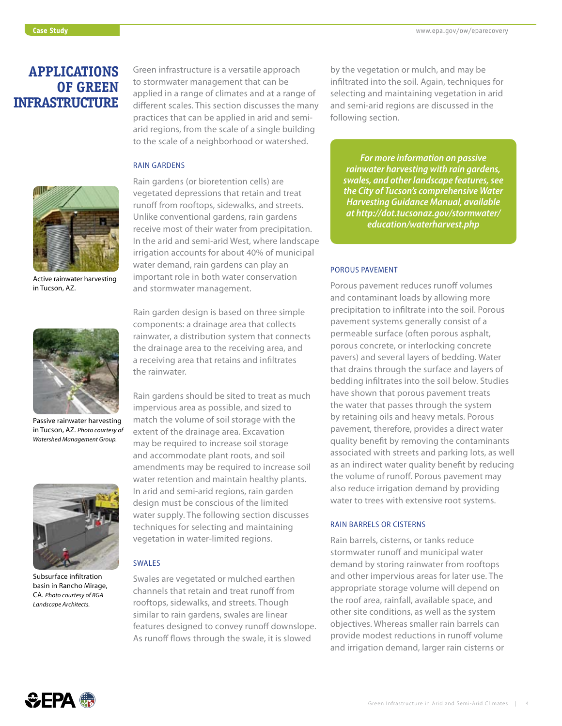### **APPLICATIONS OF GREEN INFRASTRUCTURE**

 to stormwater management that can be applied in a range of climates and at a range of different scales. This section discusses the many Green infrastructure is a versatile approach practices that can be applied in arid and semiarid regions, from the scale of a single building to the scale of a neighborhood or watershed.

 Rain gardens (or bioretention cells) are vegetated depressions that retain and treat

Unlike conventional gardens, rain gardens

runoff from rooftops, sidewalks, and streets.

### rain GardEns

the rainwater.



Active rainwater harvesting in Tucson, AZ.



Passive rainwater harvesting in Tucson, AZ. *Photo courtesy of Watershed Management Group.* 



Subsurface infiltration basin in Rancho Mirage, CA. *Photo courtesy of RGA Landscape Architects.* 

 important role in both water conservation Rain garden design is based on three simple components: a drainage area that collects rainwater, a distribution system that connects and stormwater management. the drainage area to the receiving area, and

a receiving area that retains and infiltrates

 irrigation accounts for about 40% of municipal water demand, rain gardens can play an

receive most of their water from precipitation. In the arid and semi-arid West, where landscape

 Rain gardens should be sited to treat as much impervious area as possible, and sized to match the volume of soil storage with the may be required to increase soil storage amendments may be required to increase soil water supply. The following section discusses techniques for selecting and maintaining extent of the drainage area. Excavation and accommodate plant roots, and soil water retention and maintain healthy plants. In arid and semi-arid regions, rain garden design must be conscious of the limited vegetation in water-limited regions.

#### SWALES.

 channels that retain and treat runoff from rooftops, sidewalks, and streets. Though As runoff flows through the swale, it is slowed Swales are vegetated or mulched earthen similar to rain gardens, swales are linear features designed to convey runoff downslope.

 by the vegetation or mulch, and may be infiltrated into the soil. Again, techniques for selecting and maintaining vegetation in arid and semi-arid regions are discussed in the following section.

*For more information on passive rainwater harvesting with rain gardens, swales, and other landscape features, see the City of Tucson's comprehensive Water Harvesting Guidance Manual, available at http://dot.tucsonaz.gov/stormwater/ education/waterharvest.php* 

#### Porous PavEmEnt

 and contaminant loads by allowing more precipitation to infiltrate into the soil. Porous permeable surface (often porous asphalt, porous concrete, or interlocking concrete that drains through the surface and layers of have shown that porous pavement treats the water that passes through the system quality benefit by removing the contaminants the volume of runoff. Porous pavement may Porous pavement reduces runoff volumes pavement systems generally consist of a pavers) and several layers of bedding. Water bedding infiltrates into the soil below. Studies by retaining oils and heavy metals. Porous pavement, therefore, provides a direct water associated with streets and parking lots, as well as an indirect water quality benefit by reducing also reduce irrigation demand by providing water to trees with extensive root systems.

#### RAIN BARRELS OR CISTERNS

 stormwater runoff and municipal water demand by storing rainwater from rooftops and other impervious areas for later use. The appropriate storage volume will depend on the roof area, rainfall, available space, and provide modest reductions in runoff volume and irrigation demand, larger rain cisterns or Rain barrels, cisterns, or tanks reduce other site conditions, as well as the system objectives. Whereas smaller rain barrels can

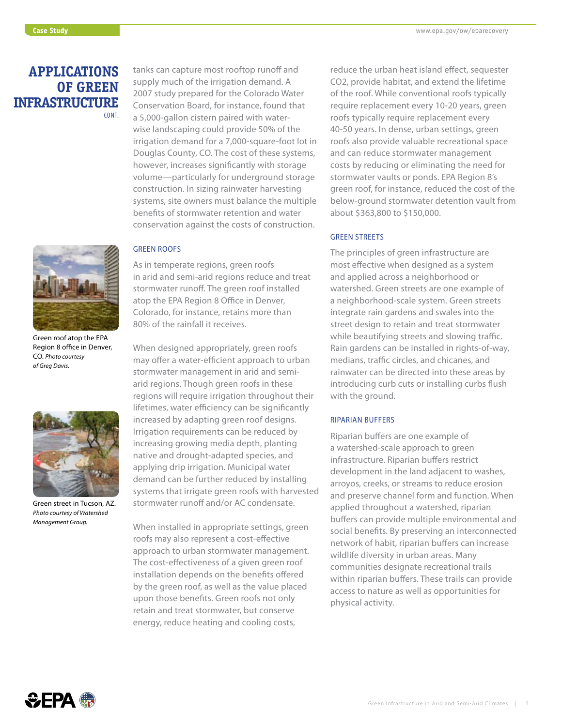### **APPLICATIONS OF GREEN INFRASTRUCTURE**  cont.



 Region 8 office in Denver, Green roof atop the EPA CO. *Photo courtesy of Greg Davis.* 



 Green street in Tucson, AZ. *Photo courtesy of Watershed Management Group.* 

 tanks can capture most rooftop runoff and wise landscaping could provide 50% of the irrigation demand for a 7,000-square-foot lot in Douglas County, CO. The cost of these systems, volume—particularly for underground storage systems, site owners must balance the multiple benefits of stormwater retention and water supply much of the irrigation demand. A 2007 study prepared for the Colorado Water Conservation Board, for instance, found that a 5,000-gallon cistern paired with waterhowever, increases significantly with storage construction. In sizing rainwater harvesting conservation against the costs of construction.

#### GrEEn roofs

 Colorado, for instance, retains more than As in temperate regions, green roofs in arid and semi-arid regions reduce and treat stormwater runoff. The green roof installed atop the EPA Region 8 Office in Denver, 80% of the rainfall it receives.

 When designed appropriately, green roofs arid regions. Though green roofs in these regions will require irrigation throughout their lifetimes, water efficiency can be significantly increased by adapting green roof designs. Irrigation requirements can be reduced by increasing growing media depth, planting applying drip irrigation. Municipal water demand can be further reduced by installing systems that irrigate green roofs with harvested stormwater runoff and/or AC condensate. may offer a water-efficient approach to urban stormwater management in arid and seminative and drought-adapted species, and

 When installed in appropriate settings, green roofs may also represent a cost-effective approach to urban stormwater management. The cost-effectiveness of a given green roof by the green roof, as well as the value placed upon those benefits. Green roofs not only retain and treat stormwater, but conserve energy, reduce heating and cooling costs, installation depends on the benefits offered

 reduce the urban heat island effect, sequester CO2, provide habitat, and extend the lifetime roofs typically require replacement every roofs also provide valuable recreational space and can reduce stormwater management costs by reducing or eliminating the need for of the roof. While conventional roofs typically require replacement every 10-20 years, green 40-50 years. In dense, urban settings, green stormwater vaults or ponds. EPA Region 8's green roof, for instance, reduced the cost of the below-ground stormwater detention vault from about \$363,800 to \$150,000.

#### **GREEN STREETS**

 and applied across a neighborhood or watershed. Green streets are one example of medians, traffic circles, and chicanes, and rainwater can be directed into these areas by introducing curb cuts or installing curbs flush The principles of green infrastructure are most effective when designed as a system a neighborhood-scale system. Green streets integrate rain gardens and swales into the street design to retain and treat stormwater while beautifying streets and slowing traffic. Rain gardens can be installed in rights-of-way, with the ground.

#### riParian buffErs

 a watershed-scale approach to green infrastructure. Riparian buffers restrict development in the land adjacent to washes, arroyos, creeks, or streams to reduce erosion applied throughout a watershed, riparian buffers can provide multiple environmental and network of habit, riparian buffers can increase communities designate recreational trails within riparian buffers. These trails can provide access to nature as well as opportunities for Riparian buffers are one example of and preserve channel form and function. When social benefits. By preserving an interconnected wildlife diversity in urban areas. Many physical activity.

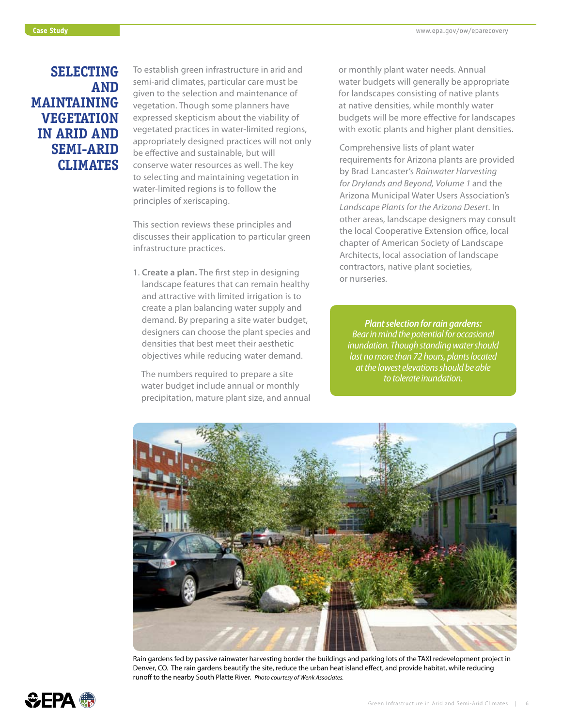### **IN ARID AND SELECTING AND MAINTAINING VEGETATION SEMI-ARID CLIMATES**

 To establish green infrastructure in arid and semi-arid climates, particular care must be given to the selection and maintenance of expressed skepticism about the viability of vegetated practices in water-limited regions, appropriately designed practices will not only conserve water resources as well. The key water-limited regions is to follow the principles of xeriscaping. vegetation. Though some planners have be effective and sustainable, but will to selecting and maintaining vegetation in

 This section reviews these principles and discusses their application to particular green infrastructure practices.

 create a plan balancing water supply and demand. By preparing a site water budget, densities that best meet their aesthetic 1. **Create a plan.** The first step in designing landscape features that can remain healthy and attractive with limited irrigation is to designers can choose the plant species and objectives while reducing water demand.

 The numbers required to prepare a site water budget include annual or monthly precipitation, mature plant size, and annual  or monthly plant water needs. Annual water budgets will generally be appropriate at native densities, while monthly water with exotic plants and higher plant densities. for landscapes consisting of native plants budgets will be more effective for landscapes

 Arizona Municipal Water Users Association's the local Cooperative Extension office, local chapter of American Society of Landscape contractors, native plant societies, Comprehensive lists of plant water requirements for Arizona plants are provided by Brad Lancaster's *Rainwater Harvesting for Drylands and Beyond, Volume 1* and the *Landscape Plants for the Arizona Desert*. In other areas, landscape designers may consult Architects, local association of landscape or nurseries.

*Plant selection for rain gardens: Bear in mind the potential for occasional inundation. Though standing water should last no more than 72 hours, plants located at the lowest elevations should be able to tolerate inundation.* 



Rain gardens fed by passive rainwater harvesting border the buildings and parking lots of the TAXI redevelopment project in Denver, CO. The rain gardens beautify the site, reduce the urban heat island effect, and provide habitat, while reducing runoff to the nearby South Platte River. *Photo courtesy of Wenk Associates.* 

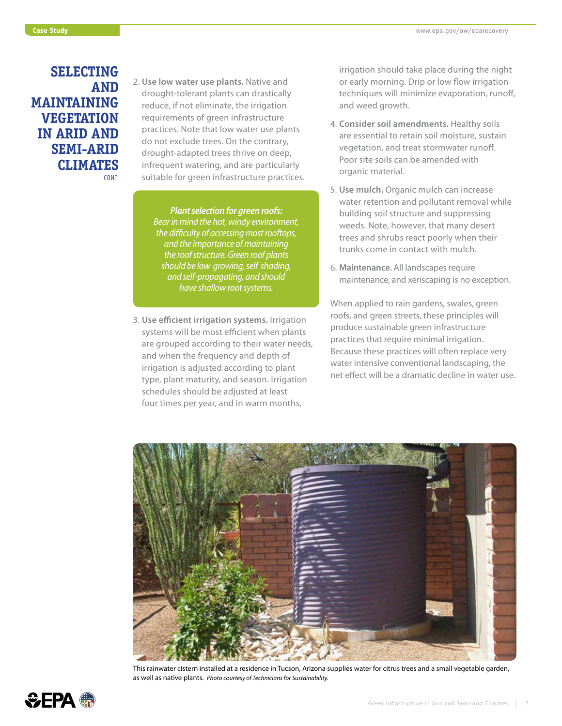### **IN ARID AND SELECTING AND MAINTAINING VEGETATION SEMI-ARID CLIMATES**  cont.

 2. **Use low water use plants.** Native and reduce, if not eliminate, the irrigation requirements of green infrastructure practices. Note that low water use plants do not exclude trees. On the contrary, infrequent watering, and are particularly drought-tolerant plants can drastically drought-adapted trees thrive on deep, suitable for green infrastructure practices.

> *- - should be low growing, self shading, Plant selection for green roofs: Bear in mind the hot, windy environment, the difficulty of accessing most rooftops, and the importance of maintaining the roof structure. Green roof plants and self-propagating, and should have shallow root systems.*

 systems will be most efficient when plants are grouped according to their water needs, and when the frequency and depth of irrigation is adjusted according to plant four times per year, and in warm months, 3. **Use efficient irrigation systems.** Irrigation type, plant maturity, and season. Irrigation schedules should be adjusted at least

 irrigation should take place during the night or early morning. Drip or low flow irrigation techniques will minimize evaporation, runoff, and weed growth.

- are essential to retain soil moisture, sustain Poor site soils can be amended with 4. **Consider soil amendments.** Healthy soils vegetation, and treat stormwater runoff. organic material.
- water retention and pollutant removal while weeds. Note, however, that many desert trees and shrubs react poorly when their 5. **Use mulch.** Organic mulch can increase building soil structure and suppressing trunks come in contact with mulch.
- 6. **Maintenance.** All landscapes require maintenance, and xeriscaping is no exception.

When applied to rain gardens, swales, green roofs, and green streets, these principles will produce sustainable green infrastructure practices that require minimal irrigation. Because these practices will often replace very water intensive conventional landscaping, the net effect will be a dramatic decline in water use.



This rainwater cistern installed at a residence in Tucson, Arizona supplies water for citrus trees and a small vegetable garden, as well as native plants. *Photo courtesy of Technicians for Sustainability.* 

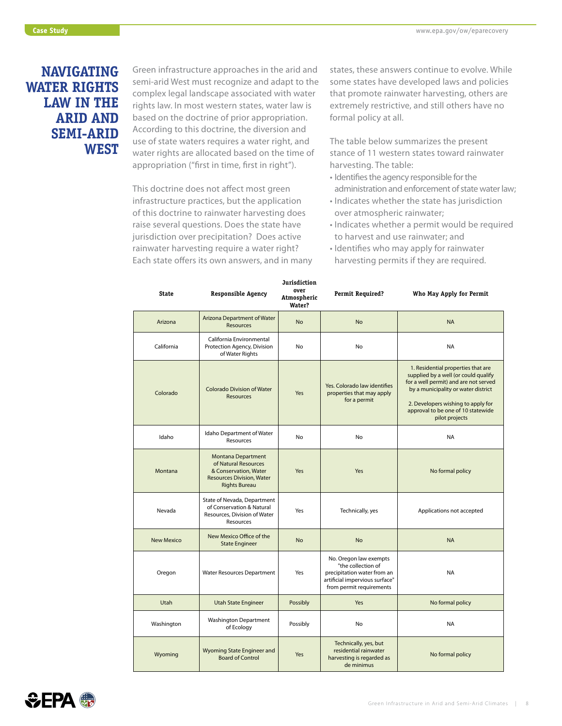### **LAW IN THE NAVIGATING WATER RIGHTS ARID AND SEMI-ARID WEST**

 semi-arid West must recognize and adapt to the complex legal landscape associated with water rights law. In most western states, water law is based on the doctrine of prior appropriation. According to this doctrine, the diversion and appropriation ("first in time, first in right"). Green infrastructure approaches in the arid and use of state waters requires a water right, and water rights are allocated based on the time of

 infrastructure practices, but the application of this doctrine to rainwater harvesting does jurisdiction over precipitation? Does active rainwater harvesting require a water right? Each state offers its own answers, and in many This doctrine does not affect most green raise several questions. Does the state have

 that promote rainwater harvesting, others are formal policy at all. states, these answers continue to evolve. While some states have developed laws and policies extremely restrictive, and still others have no

 The table below summarizes the present stance of 11 western states toward rainwater harvesting. The table:

- • Identifies the agency responsible for the administration and enforcement of state water law;
- • Indicates whether the state has jurisdiction over atmospheric rainwater;
- • Indicates whether a permit would be required to harvest and use rainwater; and
- harvesting permits if they are required. • Identifies who may apply for rainwater

| State             | <b>Responsible Agency</b>                                                                                                              | <b>Jurisdiction</b><br>over<br>Atmospheric<br>Water? | <b>Permit Required?</b>                                                                                                                   | Who May Apply for Permit                                                                                                                                                                                                                                 |
|-------------------|----------------------------------------------------------------------------------------------------------------------------------------|------------------------------------------------------|-------------------------------------------------------------------------------------------------------------------------------------------|----------------------------------------------------------------------------------------------------------------------------------------------------------------------------------------------------------------------------------------------------------|
| Arizona           | Arizona Department of Water<br><b>Resources</b>                                                                                        | <b>No</b>                                            | <b>No</b>                                                                                                                                 | <b>NA</b>                                                                                                                                                                                                                                                |
| California        | California Environmental<br>Protection Agency, Division<br>of Water Rights                                                             | No                                                   | No                                                                                                                                        | <b>NA</b>                                                                                                                                                                                                                                                |
| Colorado          | Colorado Division of Water<br><b>Resources</b>                                                                                         | Yes                                                  | Yes. Colorado law identifies<br>properties that may apply<br>for a permit                                                                 | 1. Residential properties that are<br>supplied by a well (or could qualify<br>for a well permit) and are not served<br>by a municipality or water district<br>2. Developers wishing to apply for<br>approval to be one of 10 statewide<br>pilot projects |
| Idaho             | Idaho Department of Water<br>Resources                                                                                                 | <b>No</b>                                            | No                                                                                                                                        | <b>NA</b>                                                                                                                                                                                                                                                |
| Montana           | <b>Montana Department</b><br>of Natural Resources<br>& Conservation, Water<br><b>Resources Division, Water</b><br><b>Rights Bureau</b> | Yes                                                  | Yes                                                                                                                                       | No formal policy                                                                                                                                                                                                                                         |
| Nevada            | State of Nevada, Department<br>of Conservation & Natural<br>Resources, Division of Water<br>Resources                                  | Yes                                                  | Technically, yes                                                                                                                          | Applications not accepted                                                                                                                                                                                                                                |
| <b>New Mexico</b> | New Mexico Office of the<br><b>State Engineer</b>                                                                                      | <b>No</b>                                            | <b>No</b>                                                                                                                                 | <b>NA</b>                                                                                                                                                                                                                                                |
| Oregon            | Water Resources Department                                                                                                             | Yes                                                  | No. Oregon law exempts<br>"the collection of<br>precipitation water from an<br>artificial impervious surface"<br>from permit requirements | <b>NA</b>                                                                                                                                                                                                                                                |
| Utah              | <b>Utah State Engineer</b>                                                                                                             | Possibly                                             | Yes                                                                                                                                       | No formal policy                                                                                                                                                                                                                                         |
| Washington        | <b>Washington Department</b><br>of Ecology                                                                                             | Possibly                                             | No                                                                                                                                        | <b>NA</b>                                                                                                                                                                                                                                                |
| Wyoming           | Wyoming State Engineer and<br><b>Board of Control</b>                                                                                  | Yes                                                  | Technically, yes, but<br>residential rainwater<br>harvesting is regarded as<br>de minimus                                                 | No formal policy                                                                                                                                                                                                                                         |